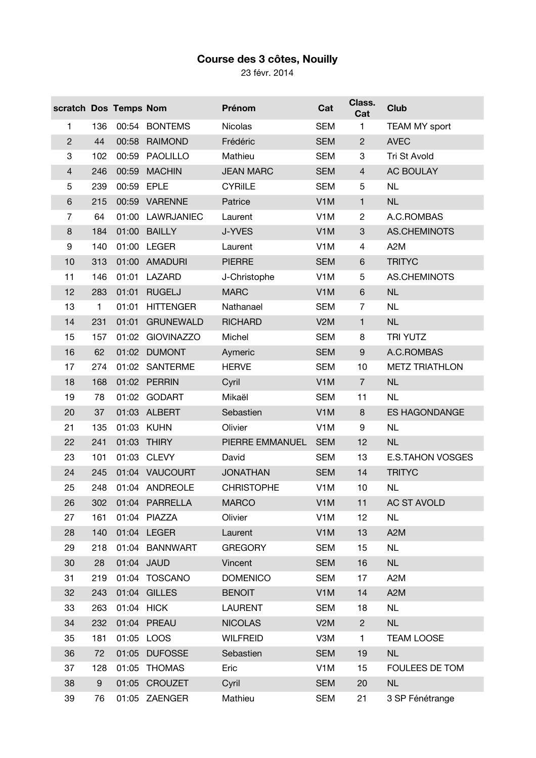## **Course des 3 côtes, Nouilly**

23 févr. 2014

| scratch Dos Temps Nom |     |            |                   | Prénom            | Cat              | Class.<br>Cat    | <b>Club</b>             |
|-----------------------|-----|------------|-------------------|-------------------|------------------|------------------|-------------------------|
| 1                     | 136 |            | 00:54 BONTEMS     | <b>Nicolas</b>    | <b>SEM</b>       | 1                | <b>TEAM MY sport</b>    |
| $\overline{c}$        | 44  | 00:58      | <b>RAIMOND</b>    | Frédéric          | <b>SEM</b>       | $\overline{c}$   | <b>AVEC</b>             |
| 3                     | 102 | 00:59      | PAOLILLO          | Mathieu           | <b>SEM</b>       | 3                | Tri St Avold            |
| $\overline{4}$        | 246 | 00:59      | <b>MACHIN</b>     | <b>JEAN MARC</b>  | <b>SEM</b>       | $\overline{4}$   | AC BOULAY               |
| 5                     | 239 | 00:59      | <b>EPLE</b>       | <b>CYRIILE</b>    | <b>SEM</b>       | 5                | <b>NL</b>               |
| $\,6$                 | 215 |            | 00:59 VARENNE     | Patrice           | V <sub>1</sub> M | 1                | <b>NL</b>               |
| 7                     | 64  | 01:00      | LAWRJANIEC        | Laurent           | V <sub>1</sub> M | $\overline{c}$   | A.C.ROMBAS              |
| 8                     | 184 | 01:00      | <b>BAILLY</b>     | J-YVES            | V <sub>1</sub> M | 3                | AS.CHEMINOTS            |
| 9                     | 140 |            | 01:00 LEGER       | Laurent           | V <sub>1</sub> M | 4                | A <sub>2</sub> M        |
| 10                    | 313 | 01:00      | AMADURI           | <b>PIERRE</b>     | <b>SEM</b>       | $\,6$            | <b>TRITYC</b>           |
| 11                    | 146 |            | 01:01 LAZARD      | J-Christophe      | V <sub>1</sub> M | 5                | AS.CHEMINOTS            |
| 12                    | 283 | 01:01      | <b>RUGELJ</b>     | <b>MARC</b>       | V <sub>1</sub> M | $\,6$            | <b>NL</b>               |
| 13                    | 1   | 01:01      | <b>HITTENGER</b>  | Nathanael         | <b>SEM</b>       | $\overline{7}$   | <b>NL</b>               |
| 14                    | 231 | 01:01      | <b>GRUNEWALD</b>  | <b>RICHARD</b>    | V2M              | $\mathbf{1}$     | <b>NL</b>               |
| 15                    | 157 | 01:02      | <b>GIOVINAZZO</b> | Michel            | <b>SEM</b>       | 8                | <b>TRI YUTZ</b>         |
| 16                    | 62  |            | 01:02 DUMONT      | Aymeric           | <b>SEM</b>       | $\boldsymbol{9}$ | A.C.ROMBAS              |
| 17                    | 274 | 01:02      | SANTERME          | <b>HERVE</b>      | <b>SEM</b>       | 10               | <b>METZ TRIATHLON</b>   |
| 18                    | 168 |            | 01:02 PERRIN      | Cyril             | V <sub>1</sub> M | $\overline{7}$   | <b>NL</b>               |
| 19                    | 78  |            | 01:02 GODART      | Mikaël            | <b>SEM</b>       | 11               | <b>NL</b>               |
| 20                    | 37  | 01:03      | <b>ALBERT</b>     | Sebastien         | V <sub>1</sub> M | 8                | <b>ES HAGONDANGE</b>    |
| 21                    | 135 | 01:03 KUHN |                   | Olivier           | V <sub>1</sub> M | 9                | <b>NL</b>               |
| 22                    | 241 | 01:03      | <b>THIRY</b>      | PIERRE EMMANUEL   | <b>SEM</b>       | 12               | NL                      |
| 23                    | 101 | 01:03      | <b>CLEVY</b>      | David             | <b>SEM</b>       | 13               | <b>E.S.TAHON VOSGES</b> |
| 24                    | 245 |            | 01:04 VAUCOURT    | <b>JONATHAN</b>   | <b>SEM</b>       | 14               | <b>TRITYC</b>           |
| 25                    | 248 |            | 01:04 ANDREOLE    | <b>CHRISTOPHE</b> | V <sub>1</sub> M | 10               | <b>NL</b>               |
| 26                    | 302 |            | 01:04 PARRELLA    | <b>MARCO</b>      | V <sub>1</sub> M | 11               | <b>AC ST AVOLD</b>      |
| 27                    | 161 |            | 01:04 PIAZZA      | Olivier           | V <sub>1</sub> M | 12               | <b>NL</b>               |
| 28                    | 140 |            | 01:04 LEGER       | Laurent           | V <sub>1</sub> M | 13               | A <sub>2</sub> M        |
| 29                    | 218 |            | 01:04 BANNWART    | <b>GREGORY</b>    | <b>SEM</b>       | 15               | <b>NL</b>               |
| 30                    | 28  | 01:04 JAUD |                   | Vincent           | <b>SEM</b>       | 16               | <b>NL</b>               |
| 31                    | 219 | 01:04      | <b>TOSCANO</b>    | <b>DOMENICO</b>   | <b>SEM</b>       | 17               | A <sub>2</sub> M        |
| 32                    | 243 |            | 01:04 GILLES      | <b>BENOIT</b>     | V <sub>1</sub> M | 14               | A <sub>2</sub> M        |
| 33                    | 263 | 01:04      | <b>HICK</b>       | <b>LAURENT</b>    | <b>SEM</b>       | 18               | <b>NL</b>               |
| 34                    | 232 |            | 01:04 PREAU       | <b>NICOLAS</b>    | V2M              | $\overline{c}$   | <b>NL</b>               |
| 35                    | 181 | 01:05 LOOS |                   | <b>WILFREID</b>   | V3M              | 1                | <b>TEAM LOOSE</b>       |
| 36                    | 72  | 01:05      | <b>DUFOSSE</b>    | Sebastien         | <b>SEM</b>       | 19               | <b>NL</b>               |
| 37                    | 128 | 01:05      | <b>THOMAS</b>     | Eric              | V <sub>1</sub> M | 15               | FOULEES DE TOM          |
| 38                    | 9   |            | 01:05 CROUZET     | Cyril             | <b>SEM</b>       | 20               | <b>NL</b>               |
| 39                    | 76  |            | 01:05 ZAENGER     | Mathieu           | <b>SEM</b>       | 21               | 3 SP Fénétrange         |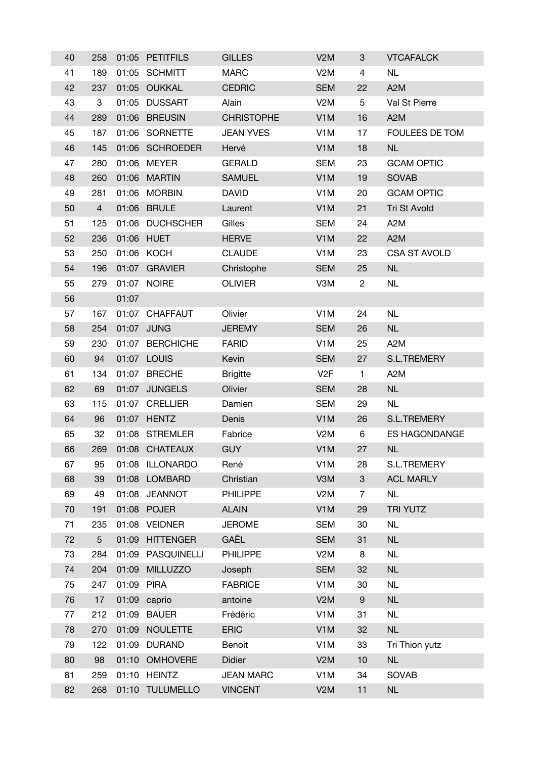| 40 | 258             |            | 01:05 PETITFILS   | <b>GILLES</b>     | V <sub>2</sub> M | 3                         | <b>VTCAFALCK</b>     |
|----|-----------------|------------|-------------------|-------------------|------------------|---------------------------|----------------------|
| 41 | 189             |            | 01:05 SCHMITT     | <b>MARC</b>       | V <sub>2</sub> M | 4                         | <b>NL</b>            |
| 42 | 237             |            | 01:05 OUKKAL      | <b>CEDRIC</b>     | <b>SEM</b>       | 22                        | A <sub>2</sub> M     |
| 43 | 3               |            | 01:05 DUSSART     | Alain             | V <sub>2</sub> M | 5                         | Val St Pierre        |
| 44 | 289             |            | 01:06 BREUSIN     | <b>CHRISTOPHE</b> | V <sub>1</sub> M | 16                        | A <sub>2</sub> M     |
| 45 | 187             |            | 01:06 SORNETTE    | <b>JEAN YVES</b>  | V <sub>1</sub> M | 17                        | FOULEES DE TOM       |
| 46 | 145             |            | 01:06 SCHROEDER   | Hervé             | V <sub>1</sub> M | 18                        | NL                   |
| 47 | 280             |            | 01:06 MEYER       | <b>GERALD</b>     | <b>SEM</b>       | 23                        | <b>GCAM OPTIC</b>    |
| 48 | 260             |            | 01:06 MARTIN      | <b>SAMUEL</b>     | V <sub>1</sub> M | 19                        | <b>SOVAB</b>         |
| 49 | 281             |            | 01:06 MORBIN      | <b>DAVID</b>      | V <sub>1</sub> M | 20                        | <b>GCAM OPTIC</b>    |
| 50 | $\overline{4}$  |            | 01:06 BRULE       | Laurent           | V <sub>1</sub> M | 21                        | Tri St Avold         |
| 51 | 125             |            | 01:06 DUCHSCHER   | Gilles            | <b>SEM</b>       | 24                        | A <sub>2</sub> M     |
| 52 | 236             |            | 01:06 HUET        | <b>HERVE</b>      | V <sub>1</sub> M | 22                        | A <sub>2</sub> M     |
| 53 | 250             |            | 01:06 KOCH        | <b>CLAUDE</b>     | V <sub>1</sub> M | 23                        | <b>CSA ST AVOLD</b>  |
| 54 | 196             |            | 01:07 GRAVIER     | Christophe        | <b>SEM</b>       | 25                        | NL                   |
| 55 | 279             |            | 01:07 NOIRE       | <b>OLIVIER</b>    | V3M              | $\overline{c}$            | <b>NL</b>            |
| 56 |                 | 01:07      |                   |                   |                  |                           |                      |
| 57 | 167             |            | 01:07 CHAFFAUT    | Olivier           | V <sub>1</sub> M | 24                        | <b>NL</b>            |
| 58 | 254             |            | 01:07 JUNG        | <b>JEREMY</b>     | <b>SEM</b>       | 26                        | NL                   |
| 59 | 230             |            | 01:07 BERCHICHE   | <b>FARID</b>      | V <sub>1</sub> M | 25                        | A <sub>2</sub> M     |
| 60 | 94              |            | 01:07 LOUIS       | Kevin             | <b>SEM</b>       | 27                        | S.L.TREMERY          |
| 61 | 134             |            | 01:07 BRECHE      | <b>Brigitte</b>   | V2F              | $\mathbf{1}$              | A <sub>2</sub> M     |
| 62 | 69              |            | 01:07 JUNGELS     | Olivier           | <b>SEM</b>       | 28                        | <b>NL</b>            |
| 63 | 115             |            | 01:07 CRELLIER    | Damien            | <b>SEM</b>       | 29                        | <b>NL</b>            |
| 64 | 96              |            | 01:07 HENTZ       | Denis             | V <sub>1</sub> M | 26                        | <b>S.L.TREMERY</b>   |
| 65 | 32              |            | 01:08 STREMLER    | Fabrice           | V <sub>2</sub> M | 6                         | <b>ES HAGONDANGE</b> |
| 66 | 269             |            | 01:08 CHATEAUX    | <b>GUY</b>        | V <sub>1</sub> M | 27                        | <b>NL</b>            |
| 67 | 95              |            | 01:08 ILLONARDO   | René              | V <sub>1</sub> M | 28                        | <b>S.L.TREMERY</b>   |
| 68 | 39              |            | 01:08 LOMBARD     | Christian         | V3M              | $\ensuremath{\mathsf{3}}$ | <b>ACL MARLY</b>     |
| 69 | 49              |            | 01:08 JEANNOT     | <b>PHILIPPE</b>   | V <sub>2</sub> M | 7                         | <b>NL</b>            |
| 70 | 191             |            | 01:08 POJER       | <b>ALAIN</b>      | V <sub>1</sub> M | 29                        | <b>TRI YUTZ</b>      |
| 71 | 235             |            | 01:08 VEIDNER     | <b>JEROME</b>     | <b>SEM</b>       | 30                        | <b>NL</b>            |
| 72 | $5\phantom{.0}$ |            | 01:09 HITTENGER   | GAÊL              | <b>SEM</b>       | 31                        | NL                   |
| 73 | 284             |            | 01:09 PASQUINELLI | PHILIPPE          | V <sub>2</sub> M | 8                         | <b>NL</b>            |
| 74 | 204             |            | 01:09 MILLUZZO    | Joseph            | <b>SEM</b>       | 32                        | NL                   |
| 75 | 247             | 01:09 PIRA |                   | <b>FABRICE</b>    | V <sub>1</sub> M | 30                        | <b>NL</b>            |
| 76 | 17              |            | 01:09 caprio      | antoine           | V2M              | 9                         | NL                   |
| 77 | 212             |            | 01:09 BAUER       | Frédéric          | V <sub>1</sub> M | 31                        | <b>NL</b>            |
| 78 | 270             | 01:09      | <b>NOULETTE</b>   | <b>ERIC</b>       | V <sub>1</sub> M | 32                        | NL                   |
| 79 | 122             |            | 01:09 DURAND      | Benoit            | V <sub>1</sub> M | 33                        | Tri Thion yutz       |
| 80 | 98              |            | 01:10 OMHOVERE    | <b>Didier</b>     | V2M              | 10                        | $\sf NL$             |
| 81 | 259             |            | 01:10 HEINTZ      | <b>JEAN MARC</b>  | V <sub>1</sub> M | 34                        | <b>SOVAB</b>         |
| 82 | 268             |            | 01:10 TULUMELLO   | <b>VINCENT</b>    | V2M              | 11                        | NL                   |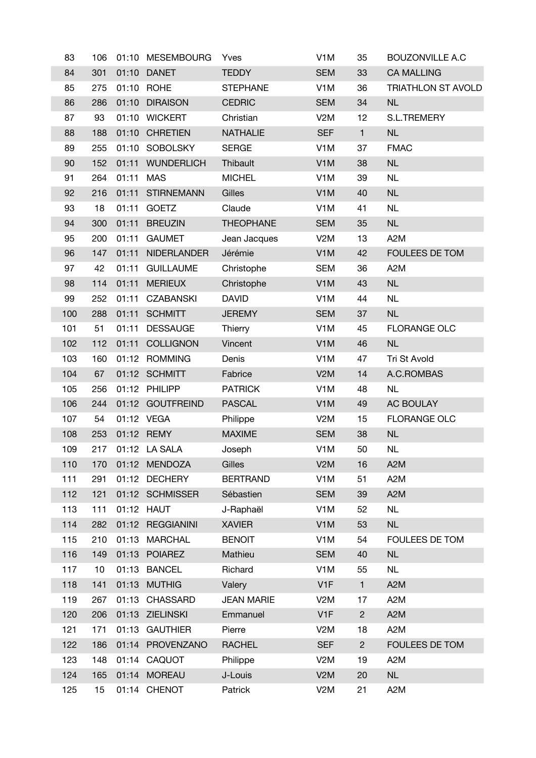| 83  | 106 |           | 01:10 MESEMBOURG   | Yves              | V <sub>1</sub> M | 35             | <b>BOUZONVILLE A.C</b> |
|-----|-----|-----------|--------------------|-------------------|------------------|----------------|------------------------|
| 84  | 301 |           | 01:10 DANET        | <b>TEDDY</b>      | <b>SEM</b>       | 33             | <b>CA MALLING</b>      |
| 85  | 275 |           | 01:10 ROHE         | <b>STEPHANE</b>   | V <sub>1</sub> M | 36             | TRIATHLON ST AVOLD     |
| 86  | 286 |           | 01:10 DIRAISON     | <b>CEDRIC</b>     | <b>SEM</b>       | 34             | <b>NL</b>              |
| 87  | 93  |           | 01:10 WICKERT      | Christian         | V <sub>2</sub> M | 12             | <b>S.L.TREMERY</b>     |
| 88  | 188 |           | 01:10 CHRETIEN     | <b>NATHALIE</b>   | <b>SEF</b>       | $\mathbf{1}$   | NL                     |
| 89  | 255 |           | 01:10 SOBOLSKY     | <b>SERGE</b>      | V <sub>1</sub> M | 37             | <b>FMAC</b>            |
| 90  | 152 |           | 01:11 WUNDERLICH   | Thibault          | V <sub>1</sub> M | 38             | NL                     |
| 91  | 264 | 01:11 MAS |                    | <b>MICHEL</b>     | V <sub>1</sub> M | 39             | <b>NL</b>              |
| 92  | 216 |           | 01:11 STIRNEMANN   | Gilles            | V <sub>1</sub> M | 40             | NL                     |
| 93  | 18  |           | 01:11 GOETZ        | Claude            | V <sub>1</sub> M | 41             | <b>NL</b>              |
| 94  | 300 | 01:11     | <b>BREUZIN</b>     | <b>THEOPHANE</b>  | <b>SEM</b>       | 35             | <b>NL</b>              |
| 95  | 200 | 01:11     | <b>GAUMET</b>      | Jean Jacques      | V2M              | 13             | A <sub>2</sub> M       |
| 96  | 147 | 01:11     | <b>NIDERLANDER</b> | Jérémie           | V <sub>1</sub> M | 42             | FOULEES DE TOM         |
| 97  | 42  | 01:11     | <b>GUILLAUME</b>   | Christophe        | <b>SEM</b>       | 36             | A <sub>2</sub> M       |
| 98  | 114 | 01:11     | <b>MERIEUX</b>     | Christophe        | V <sub>1</sub> M | 43             | <b>NL</b>              |
| 99  | 252 | 01:11     | CZABANSKI          | <b>DAVID</b>      | V <sub>1</sub> M | 44             | <b>NL</b>              |
| 100 | 288 |           | 01:11 SCHMITT      | <b>JEREMY</b>     | <b>SEM</b>       | 37             | <b>NL</b>              |
| 101 | 51  |           | 01:11 DESSAUGE     | Thierry           | V <sub>1</sub> M | 45             | <b>FLORANGE OLC</b>    |
| 102 | 112 | 01:11     | <b>COLLIGNON</b>   | Vincent           | V <sub>1</sub> M | 46             | <b>NL</b>              |
| 103 | 160 |           | 01:12 ROMMING      | Denis             | V <sub>1</sub> M | 47             | Tri St Avold           |
| 104 | 67  |           | 01:12 SCHMITT      | Fabrice           | V2M              | 14             | A.C.ROMBAS             |
| 105 | 256 |           | 01:12 PHILIPP      | <b>PATRICK</b>    | V <sub>1</sub> M | 48             | <b>NL</b>              |
| 106 | 244 |           | 01:12 GOUTFREIND   | <b>PASCAL</b>     | V <sub>1</sub> M | 49             | AC BOULAY              |
| 107 | 54  |           | 01:12 VEGA         | Philippe          | V <sub>2</sub> M | 15             | <b>FLORANGE OLC</b>    |
| 108 | 253 |           | 01:12 REMY         | <b>MAXIME</b>     | <b>SEM</b>       | 38             | NL                     |
| 109 | 217 |           | 01:12 LA SALA      | Joseph            | V <sub>1</sub> M | 50             | <b>NL</b>              |
| 110 | 170 |           | 01:12 MENDOZA      | Gilles            | V2M              | 16             | A <sub>2</sub> M       |
| 111 | 291 |           | 01:12 DECHERY      | <b>BERTRAND</b>   | V <sub>1</sub> M | 51             | A <sub>2</sub> M       |
| 112 | 121 |           | 01:12 SCHMISSER    | Sébastien         | <b>SEM</b>       | 39             | A <sub>2</sub> M       |
| 113 | 111 |           | 01:12 HAUT         | J-Raphaël         | V <sub>1</sub> M | 52             | <b>NL</b>              |
| 114 | 282 |           | 01:12 REGGIANINI   | <b>XAVIER</b>     | V <sub>1</sub> M | 53             | <b>NL</b>              |
| 115 | 210 |           | 01:13 MARCHAL      | <b>BENOIT</b>     | V <sub>1</sub> M | 54             | FOULEES DE TOM         |
| 116 | 149 |           | 01:13 POIAREZ      | Mathieu           | <b>SEM</b>       | 40             | NL                     |
| 117 | 10  |           | 01:13 BANCEL       | Richard           | V <sub>1</sub> M | 55             | <b>NL</b>              |
| 118 | 141 |           | 01:13 MUTHIG       | Valery            | V <sub>1</sub> F | $\mathbf{1}$   | A <sub>2</sub> M       |
| 119 | 267 | 01:13     | <b>CHASSARD</b>    | <b>JEAN MARIE</b> | V <sub>2</sub> M | 17             | A <sub>2</sub> M       |
| 120 | 206 |           | 01:13 ZIELINSKI    | Emmanuel          | V <sub>1</sub> F | $\overline{c}$ | A <sub>2</sub> M       |
| 121 | 171 |           | 01:13 GAUTHIER     | Pierre            | V <sub>2</sub> M | 18             | A <sub>2</sub> M       |
| 122 | 186 |           | 01:14 PROVENZANO   | <b>RACHEL</b>     | <b>SEF</b>       | $\overline{2}$ | FOULEES DE TOM         |
| 123 | 148 |           | 01:14 CAQUOT       | Philippe          | V <sub>2</sub> M | 19             | A <sub>2</sub> M       |
| 124 | 165 |           | 01:14 MOREAU       | J-Louis           | V2M              | 20             | NL                     |
| 125 | 15  |           | 01:14 CHENOT       | Patrick           | V <sub>2</sub> M | 21             | A <sub>2</sub> M       |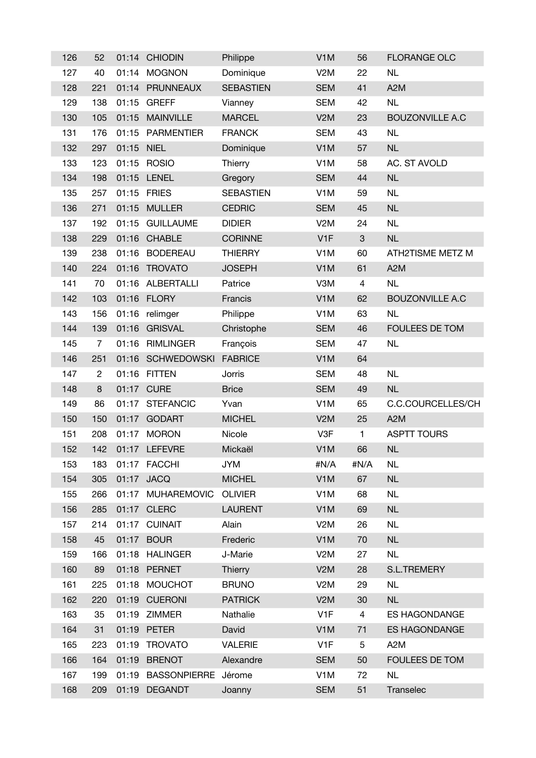| 126 | 52             | 01:14 | <b>CHIODIN</b>     | Philippe         | V <sub>1</sub> M | 56             | <b>FLORANGE OLC</b>    |
|-----|----------------|-------|--------------------|------------------|------------------|----------------|------------------------|
| 127 | 40             | 01:14 | <b>MOGNON</b>      | Dominique        | V <sub>2</sub> M | 22             | <b>NL</b>              |
| 128 | 221            |       | 01:14 PRUNNEAUX    | <b>SEBASTIEN</b> | <b>SEM</b>       | 41             | A <sub>2</sub> M       |
| 129 | 138            | 01:15 | <b>GREFF</b>       | Vianney          | <b>SEM</b>       | 42             | <b>NL</b>              |
| 130 | 105            | 01:15 | <b>MAINVILLE</b>   | <b>MARCEL</b>    | V2M              | 23             | <b>BOUZONVILLE A.C</b> |
| 131 | 176            | 01:15 | PARMENTIER         | <b>FRANCK</b>    | <b>SEM</b>       | 43             | <b>NL</b>              |
| 132 | 297            | 01:15 | <b>NIEL</b>        | Dominique        | V <sub>1</sub> M | 57             | <b>NL</b>              |
| 133 | 123            | 01:15 | <b>ROSIO</b>       | Thierry          | V <sub>1</sub> M | 58             | AC. ST AVOLD           |
| 134 | 198            |       | 01:15 LENEL        | Gregory          | <b>SEM</b>       | 44             | NL                     |
| 135 | 257            | 01:15 | <b>FRIES</b>       | <b>SEBASTIEN</b> | V <sub>1</sub> M | 59             | <b>NL</b>              |
| 136 | 271            | 01:15 | <b>MULLER</b>      | <b>CEDRIC</b>    | <b>SEM</b>       | 45             | NL                     |
| 137 | 192            | 01:15 | <b>GUILLAUME</b>   | <b>DIDIER</b>    | V <sub>2</sub> M | 24             | <b>NL</b>              |
| 138 | 229            | 01:16 | <b>CHABLE</b>      | <b>CORINNE</b>   | V <sub>1F</sub>  | $\sqrt{3}$     | <b>NL</b>              |
| 139 | 238            | 01:16 | <b>BODEREAU</b>    | <b>THIERRY</b>   | V <sub>1</sub> M | 60             | ATH2TISME METZ M       |
| 140 | 224            | 01:16 | <b>TROVATO</b>     | <b>JOSEPH</b>    | V <sub>1</sub> M | 61             | A <sub>2</sub> M       |
| 141 | 70             |       | 01:16 ALBERTALLI   | Patrice          | V3M              | $\overline{4}$ | <b>NL</b>              |
| 142 | 103            |       | 01:16 FLORY        | Francis          | V <sub>1</sub> M | 62             | <b>BOUZONVILLE A.C</b> |
| 143 | 156            | 01:16 | relimger           | Philippe         | V <sub>1</sub> M | 63             | <b>NL</b>              |
| 144 | 139            | 01:16 | <b>GRISVAL</b>     | Christophe       | <b>SEM</b>       | 46             | FOULEES DE TOM         |
| 145 | $\overline{7}$ | 01:16 | <b>RIMLINGER</b>   | François         | <b>SEM</b>       | 47             | <b>NL</b>              |
| 146 | 251            |       | 01:16 SCHWEDOWSKI  | <b>FABRICE</b>   | V <sub>1</sub> M | 64             |                        |
| 147 | $\overline{c}$ |       | 01:16 FITTEN       | Jorris           | <b>SEM</b>       | 48             | <b>NL</b>              |
| 148 | $\bf 8$        |       | 01:17 CURE         | <b>Brice</b>     | <b>SEM</b>       | 49             | <b>NL</b>              |
| 149 | 86             | 01:17 | <b>STEFANCIC</b>   | Yvan             | V <sub>1</sub> M | 65             | C.C.COURCELLES/CH      |
| 150 | 150            | 01:17 | <b>GODART</b>      | <b>MICHEL</b>    | V2M              | 25             | A <sub>2</sub> M       |
| 151 | 208            | 01:17 | <b>MORON</b>       | Nicole           | V3F              | 1              | <b>ASPTT TOURS</b>     |
| 152 | 142            |       | 01:17 LEFEVRE      | Mickaël          | V <sub>1</sub> M | 66             | <b>NL</b>              |
| 153 | 183            |       | 01:17 FACCHI       | <b>JYM</b>       | #N/A             | #N/A           | <b>NL</b>              |
| 154 | 305            |       | 01:17 JACQ         | <b>MICHEL</b>    | V <sub>1</sub> M | 67             | NL                     |
| 155 | 266            |       | 01:17 MUHAREMOVIC  | <b>OLIVIER</b>   | V <sub>1</sub> M | 68             | <b>NL</b>              |
| 156 | 285            |       | 01:17 CLERC        | <b>LAURENT</b>   | V <sub>1</sub> M | 69             | NL                     |
| 157 | 214            |       | 01:17 CUINAIT      | Alain            | V <sub>2</sub> M | 26             | <b>NL</b>              |
| 158 | 45             |       | 01:17 BOUR         | Frederic         | V <sub>1</sub> M | 70             | NL                     |
| 159 | 166            |       | 01:18 HALINGER     | J-Marie          | V <sub>2</sub> M | 27             | <b>NL</b>              |
| 160 | 89             |       | 01:18 PERNET       | Thierry          | V2M              | 28             | S.L.TREMERY            |
| 161 | 225            |       | 01:18 MOUCHOT      | <b>BRUNO</b>     | V <sub>2</sub> M | 29             | <b>NL</b>              |
| 162 | 220            |       | 01:19 CUERONI      | <b>PATRICK</b>   | V2M              | 30             | <b>NL</b>              |
| 163 | 35             | 01:19 | <b>ZIMMER</b>      | Nathalie         | V <sub>1</sub> F | 4              | <b>ES HAGONDANGE</b>   |
| 164 | 31             |       | 01:19 PETER        | David            | V <sub>1</sub> M | 71             | <b>ES HAGONDANGE</b>   |
| 165 | 223            |       | 01:19 TROVATO      | <b>VALERIE</b>   | V <sub>1</sub> F | 5              | A <sub>2</sub> M       |
| 166 | 164            |       | 01:19 BRENOT       | Alexandre        | <b>SEM</b>       | 50             | FOULEES DE TOM         |
| 167 | 199            |       | 01:19 BASSONPIERRE | Jérome           | V <sub>1</sub> M | 72             | <b>NL</b>              |
| 168 | 209            |       | 01:19 DEGANDT      | Joanny           | <b>SEM</b>       | 51             | Transelec              |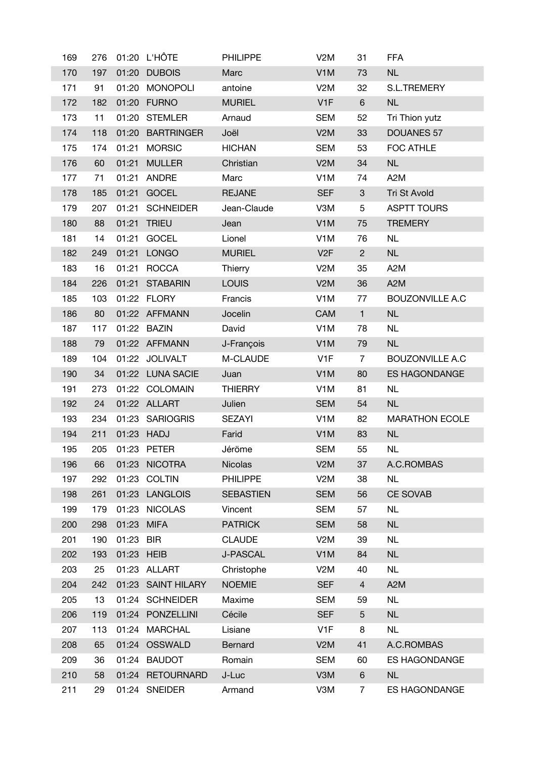| 169 | 276 |            | 01:20 L'HÔTE       | <b>PHILIPPE</b>  | V <sub>2</sub> M | 31             | <b>FFA</b>             |
|-----|-----|------------|--------------------|------------------|------------------|----------------|------------------------|
| 170 | 197 |            | 01:20 DUBOIS       | Marc             | V <sub>1</sub> M | 73             | NL                     |
| 171 | 91  | 01:20      | <b>MONOPOLI</b>    | antoine          | V <sub>2</sub> M | 32             | S.L.TREMERY            |
| 172 | 182 |            | 01:20 FURNO        | <b>MURIEL</b>    | V <sub>1F</sub>  | 6              | <b>NL</b>              |
| 173 | 11  |            | 01:20 STEMLER      | Arnaud           | <b>SEM</b>       | 52             | Tri Thion yutz         |
| 174 | 118 |            | 01:20 BARTRINGER   | Joël             | V2M              | 33             | <b>DOUANES 57</b>      |
| 175 | 174 |            | 01:21 MORSIC       | <b>HICHAN</b>    | <b>SEM</b>       | 53             | FOC ATHLE              |
| 176 | 60  | 01:21      | <b>MULLER</b>      | Christian        | V2M              | 34             | <b>NL</b>              |
| 177 | 71  |            | 01:21 ANDRE        | Marc             | V <sub>1</sub> M | 74             | A <sub>2</sub> M       |
| 178 | 185 | 01:21      | <b>GOCEL</b>       | <b>REJANE</b>    | <b>SEF</b>       | $\mathbf{3}$   | Tri St Avold           |
| 179 | 207 |            | 01:21 SCHNEIDER    | Jean-Claude      | V3M              | 5              | <b>ASPTT TOURS</b>     |
| 180 | 88  | 01:21      | <b>TRIEU</b>       | Jean             | V <sub>1</sub> M | 75             | <b>TREMERY</b>         |
| 181 | 14  | 01:21      | GOCEL              | Lionel           | V <sub>1</sub> M | 76             | <b>NL</b>              |
| 182 | 249 |            | 01:21 LONGO        | <b>MURIEL</b>    | V <sub>2F</sub>  | $\overline{2}$ | <b>NL</b>              |
| 183 | 16  | 01:21      | <b>ROCCA</b>       | Thierry          | V <sub>2</sub> M | 35             | A <sub>2</sub> M       |
| 184 | 226 |            | 01:21 STABARIN     | <b>LOUIS</b>     | V2M              | 36             | A <sub>2</sub> M       |
| 185 | 103 |            | 01:22 FLORY        | Francis          | V <sub>1</sub> M | 77             | <b>BOUZONVILLE A.C</b> |
| 186 | 80  |            | 01:22 AFFMANN      | Jocelin          | CAM              | $\mathbf{1}$   | <b>NL</b>              |
| 187 | 117 |            | 01:22 BAZIN        | David            | V <sub>1</sub> M | 78             | <b>NL</b>              |
| 188 | 79  |            | 01:22 AFFMANN      | J-François       | V <sub>1</sub> M | 79             | <b>NL</b>              |
| 189 | 104 |            | 01:22 JOLIVALT     | M-CLAUDE         | V <sub>1</sub> F | $\overline{7}$ | <b>BOUZONVILLE A.C</b> |
| 190 | 34  |            | 01:22 LUNA SACIE   | Juan             | V <sub>1</sub> M | 80             | ES HAGONDANGE          |
| 191 | 273 |            | 01:22 COLOMAIN     | <b>THIERRY</b>   | V <sub>1</sub> M | 81             | <b>NL</b>              |
| 192 | 24  |            | 01:22 ALLART       | Julien           | <b>SEM</b>       | 54             | <b>NL</b>              |
| 193 | 234 |            | 01:23 SARIOGRIS    | <b>SEZAYI</b>    | V <sub>1</sub> M | 82             | <b>MARATHON ECOLE</b>  |
| 194 | 211 |            | 01:23 HADJ         | Farid            | V <sub>1</sub> M | 83             | NL                     |
| 195 | 205 |            | 01:23 PETER        | Jéröme           | <b>SEM</b>       | 55             | <b>NL</b>              |
| 196 | 66  |            | 01:23 NICOTRA      | <b>Nicolas</b>   | V2M              | 37             | A.C.ROMBAS             |
| 197 | 292 |            | 01:23 COLTIN       | <b>PHILIPPE</b>  | V <sub>2</sub> M | 38             | <b>NL</b>              |
| 198 | 261 |            | 01:23 LANGLOIS     | <b>SEBASTIEN</b> | <b>SEM</b>       | 56             | <b>CE SOVAB</b>        |
| 199 | 179 |            | 01:23 NICOLAS      | Vincent          | <b>SEM</b>       | 57             | <b>NL</b>              |
| 200 | 298 | 01:23 MIFA |                    | <b>PATRICK</b>   | <b>SEM</b>       | 58             | <b>NL</b>              |
| 201 | 190 | 01:23 BIR  |                    | <b>CLAUDE</b>    | V <sub>2</sub> M | 39             | <b>NL</b>              |
| 202 | 193 | 01:23 HEIB |                    | <b>J-PASCAL</b>  | V <sub>1</sub> M | 84             | NL                     |
| 203 | 25  |            | 01:23 ALLART       | Christophe       | V <sub>2</sub> M | 40             | <b>NL</b>              |
| 204 | 242 |            | 01:23 SAINT HILARY | <b>NOEMIE</b>    | <b>SEF</b>       | $\overline{4}$ | A <sub>2</sub> M       |
| 205 | 13  |            | 01:24 SCHNEIDER    | Maxime           | <b>SEM</b>       | 59             | <b>NL</b>              |
| 206 | 119 |            | 01:24 PONZELLINI   | Cécile           | <b>SEF</b>       | 5              | <b>NL</b>              |
| 207 | 113 |            | 01:24 MARCHAL      | Lisiane          | V <sub>1</sub> F | 8              | <b>NL</b>              |
| 208 | 65  |            | 01:24 OSSWALD      | Bernard          | V2M              | 41             | A.C.ROMBAS             |
| 209 | 36  |            | 01:24 BAUDOT       | Romain           | <b>SEM</b>       | 60             | <b>ES HAGONDANGE</b>   |
| 210 | 58  |            | 01:24 RETOURNARD   | J-Luc            | V3M              | $\,6$          | <b>NL</b>              |
| 211 | 29  |            | 01:24 SNEIDER      | Armand           | V3M              | $\overline{7}$ | ES HAGONDANGE          |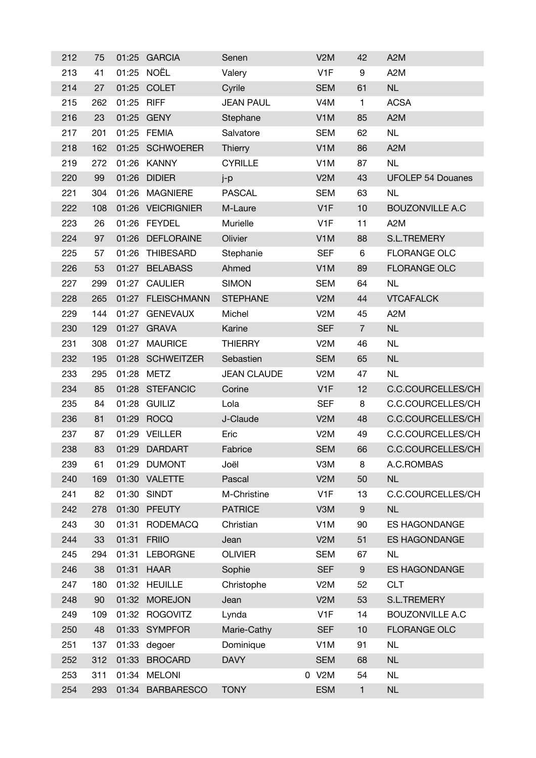| 212 | 75  | 01:25 | <b>GARCIA</b>     | Senen              | V2M              | 42               | A <sub>2</sub> M         |
|-----|-----|-------|-------------------|--------------------|------------------|------------------|--------------------------|
| 213 | 41  | 01:25 | NOËL              | Valery             | V <sub>1</sub> F | 9                | A <sub>2</sub> M         |
| 214 | 27  |       | 01:25 COLET       | Cyrile             | <b>SEM</b>       | 61               | <b>NL</b>                |
| 215 | 262 | 01:25 | <b>RIFF</b>       | <b>JEAN PAUL</b>   | V <sub>4</sub> M | $\mathbf{1}$     | <b>ACSA</b>              |
| 216 | 23  | 01:25 | <b>GENY</b>       | Stephane           | V <sub>1</sub> M | 85               | A <sub>2</sub> M         |
| 217 | 201 | 01:25 | <b>FEMIA</b>      | Salvatore          | <b>SEM</b>       | 62               | <b>NL</b>                |
| 218 | 162 | 01:25 | <b>SCHWOERER</b>  | <b>Thierry</b>     | V <sub>1</sub> M | 86               | A <sub>2</sub> M         |
| 219 | 272 |       | 01:26 KANNY       | <b>CYRILLE</b>     | V <sub>1</sub> M | 87               | <b>NL</b>                |
| 220 | 99  | 01:26 | <b>DIDIER</b>     | j-p                | V2M              | 43               | <b>UFOLEP 54 Douanes</b> |
| 221 | 304 | 01:26 | <b>MAGNIERE</b>   | <b>PASCAL</b>      | <b>SEM</b>       | 63               | <b>NL</b>                |
| 222 | 108 |       | 01:26 VEICRIGNIER | M-Laure            | V <sub>1</sub> F | 10               | <b>BOUZONVILLE A.C</b>   |
| 223 | 26  | 01:26 | <b>FEYDEL</b>     | Murielle           | V <sub>1</sub> F | 11               | A <sub>2</sub> M         |
| 224 | 97  | 01:26 | <b>DEFLORAINE</b> | Olivier            | V <sub>1</sub> M | 88               | <b>S.L.TREMERY</b>       |
| 225 | 57  | 01:26 | <b>THIBESARD</b>  | Stephanie          | <b>SEF</b>       | 6                | <b>FLORANGE OLC</b>      |
| 226 | 53  |       | 01:27 BELABASS    | Ahmed              | V <sub>1</sub> M | 89               | <b>FLORANGE OLC</b>      |
| 227 | 299 |       | 01:27 CAULIER     | <b>SIMON</b>       | <b>SEM</b>       | 64               | <b>NL</b>                |
| 228 | 265 |       | 01:27 FLEISCHMANN | <b>STEPHANE</b>    | V2M              | 44               | <b>VTCAFALCK</b>         |
| 229 | 144 |       | 01:27 GENEVAUX    | Michel             | V <sub>2</sub> M | 45               | A <sub>2</sub> M         |
| 230 | 129 |       | 01:27 GRAVA       | Karine             | <b>SEF</b>       | $\overline{7}$   | <b>NL</b>                |
| 231 | 308 | 01:27 | <b>MAURICE</b>    | <b>THIERRY</b>     | V <sub>2</sub> M | 46               | <b>NL</b>                |
| 232 | 195 |       | 01:28 SCHWEITZER  | Sebastien          | <b>SEM</b>       | 65               | <b>NL</b>                |
| 233 | 295 | 01:28 | <b>METZ</b>       | <b>JEAN CLAUDE</b> | V <sub>2</sub> M | 47               | <b>NL</b>                |
| 234 | 85  |       | 01:28 STEFANCIC   | Corine             | V <sub>1</sub> F | 12               | C.C.COURCELLES/CH        |
| 235 | 84  | 01:28 | <b>GUILIZ</b>     | Lola               | <b>SEF</b>       | 8                | C.C.COURCELLES/CH        |
| 236 | 81  | 01:29 | <b>ROCQ</b>       | J-Claude           | V2M              | 48               | C.C.COURCELLES/CH        |
| 237 | 87  | 01:29 | <b>VEILLER</b>    | Eric               | V <sub>2</sub> M | 49               | C.C.COURCELLES/CH        |
| 238 | 83  | 01:29 | <b>DARDART</b>    | Fabrice            | <b>SEM</b>       | 66               | C.C.COURCELLES/CH        |
| 239 | 61  | 01:29 | <b>DUMONT</b>     | Joël               | V3M              | 8                | A.C.ROMBAS               |
| 240 | 169 |       | 01:30 VALETTE     | Pascal             | V2M              | 50               | <b>NL</b>                |
| 241 | 82  | 01:30 | <b>SINDT</b>      | M-Christine        | V <sub>1</sub> F | 13               | C.C.COURCELLES/CH        |
| 242 | 278 | 01:30 | <b>PFEUTY</b>     | <b>PATRICE</b>     | V3M              | $\boldsymbol{9}$ | <b>NL</b>                |
| 243 | 30  | 01:31 | <b>RODEMACQ</b>   | Christian          | V <sub>1</sub> M | 90               | ES HAGONDANGE            |
| 244 | 33  | 01:31 | <b>FRIIO</b>      | Jean               | V2M              | 51               | <b>ES HAGONDANGE</b>     |
| 245 | 294 | 01:31 | <b>LEBORGNE</b>   | <b>OLIVIER</b>     | <b>SEM</b>       | 67               | <b>NL</b>                |
| 246 | 38  | 01:31 | <b>HAAR</b>       | Sophie             | <b>SEF</b>       | 9                | ES HAGONDANGE            |
| 247 | 180 | 01:32 | <b>HEUILLE</b>    | Christophe         | V <sub>2</sub> M | 52               | <b>CLT</b>               |
| 248 | 90  | 01:32 | <b>MOREJON</b>    | Jean               | V2M              | 53               | S.L.TREMERY              |
| 249 | 109 | 01:32 | <b>ROGOVITZ</b>   | Lynda              | V <sub>1</sub> F | 14               | <b>BOUZONVILLE A.C</b>   |
| 250 | 48  |       | 01:33 SYMPFOR     | Marie-Cathy        | <b>SEF</b>       | 10               | <b>FLORANGE OLC</b>      |
| 251 | 137 | 01:33 | degoer            | Dominique          | V <sub>1</sub> M | 91               | <b>NL</b>                |
| 252 | 312 | 01:33 | <b>BROCARD</b>    | <b>DAVY</b>        | <b>SEM</b>       | 68               | <b>NL</b>                |
| 253 | 311 |       | 01:34 MELONI      |                    | 0 V2M            | 54               | <b>NL</b>                |
| 254 | 293 |       | 01:34 BARBARESCO  | <b>TONY</b>        | <b>ESM</b>       | $\mathbf{1}$     | NL                       |